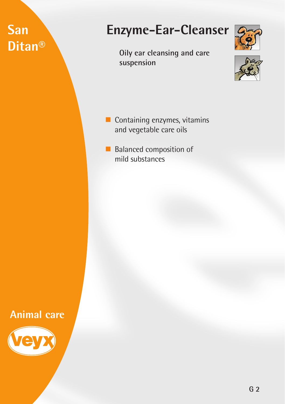# **San Ditan®**

## **Enzyme-Ear-Cleanser**

**Oily ear cleansing and care suspension**





Containing enzymes, vitamins and vegetable care oils

Balanced composition of mild substances

### **Animal care**

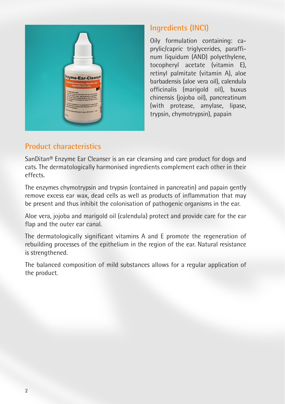

#### **Ingredients (INCI)**

Oily formulation containing: caprylic/capric triglycerides, paraffinum liquidum (AND) polyethylene, tocopheryl acetate (vitamin E), retinyl palmitate (vitamin A), aloe barbadensis (aloe vera oil), calendula officinalis (marigold oil), buxus chinensis (jojoba oil), pancreatinum (with protease, amylase, lipase, trypsin, chymotrypsin), papain

#### **Product characteristics**

SanDitan® Enzyme Ear Cleanser is an ear cleansing and care product for dogs and cats. The dermatologically harmonised ingredients complement each other in their effects.

The enzymes chymotrypsin and trypsin (contained in pancreatin) and papain gently remove excess ear wax, dead cells as well as products of inflammation that may be present and thus inhibit the colonisation of pathogenic organisms in the ear.

Aloe vera, jojoba and marigold oil (calendula) protect and provide care for the ear flap and the outer ear canal.

The dermatologically significant vitamins A and E promote the regeneration of rebuilding processes of the epithelium in the region of the ear. Natural resistance is strengthened.

The balanced composition of mild substances allows for a regular application of the product.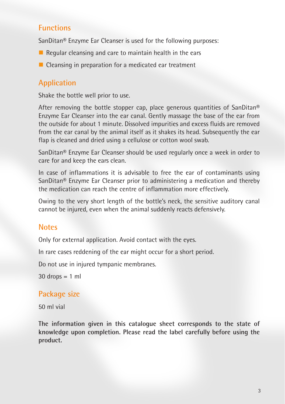#### **Functions**

SanDitan® Enzyme Ear Cleanser is used for the following purposes:

- Regular cleansing and care to maintain health in the ears
- $\blacksquare$  Cleansing in preparation for a medicated ear treatment

#### **Application**

Shake the bottle well prior to use.

After removing the bottle stopper cap, place generous quantities of SanDitan® Enzyme Ear Cleanser into the ear canal. Gently massage the base of the ear from the outside for about 1 minute. Dissolved impurities and excess fluids are removed from the ear canal by the animal itself as it shakes its head. Subsequently the ear flap is cleaned and dried using a cellulose or cotton wool swab.

SanDitan® Enzyme Ear Cleanser should be used regularly once a week in order to care for and keep the ears clean.

In case of inflammations it is advisable to free the ear of contaminants using SanDitan® Enzyme Ear Cleanser prior to administering a medication and thereby the medication can reach the centre of inflammation more effectively.

Owing to the very short length of the bottle's neck, the sensitive auditory canal cannot be injured, even when the animal suddenly reacts defensively.

#### **Notes**

Only for external application. Avoid contact with the eyes.

In rare cases reddening of the ear might occur for a short period.

Do not use in injured tympanic membranes.

 $30$  drops = 1 ml

#### **Package size**

50 ml vial

**The information given in this catalogue sheet corresponds to the state of knowledge upon completion. Please read the label carefully before using the product.**